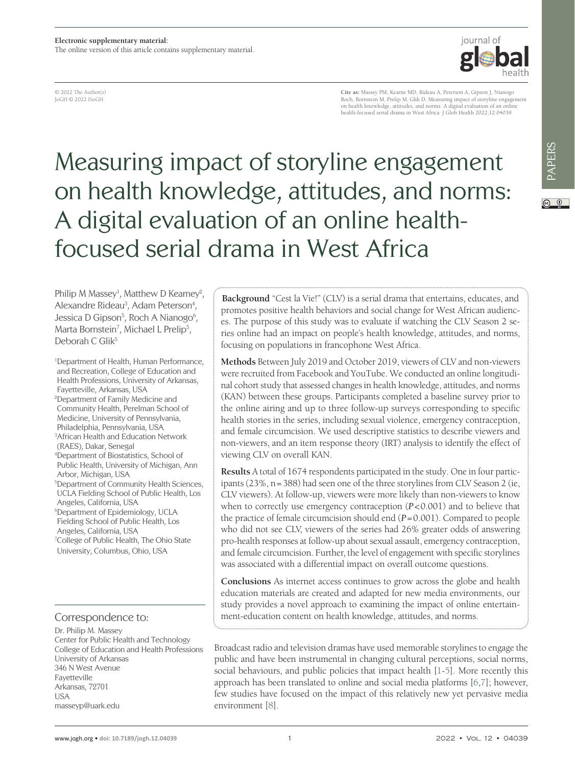© 2022 The Author(s) JoGH © 2022 ISoGH

**Cite as:** Massey PM, Kearne MD, Rideau A, Peterson A, Gipson J, Nianogo Roch, Bornstein M, Prelip M, Glik D. Measuring impact of storyline engagement on health knowledge, attitudes, and norms: A digital evaluation of an online health-focused serial drama in West Africa. J Glob Health 2022;12:04039.

# Measuring impact of storyline engagement on health knowledge, attitudes, and norms: A digital evaluation of an online healthfocused serial drama in West Africa

Philip M Massey<sup>1</sup>, Matthew D Kearney<sup>2</sup>, Alexandre Rideau<sup>3</sup>, Adam Peterson<sup>4</sup>, Jessica D Gipson<sup>5</sup>, Roch A Nianogo<sup>6</sup>, Marta Bornstein<sup>7</sup>, Michael L Prelip<sup>5</sup>, Deborah C Glik<sup>5</sup>

1 Department of Health, Human Performance, and Recreation, College of Education and Health Professions, University of Arkansas, Fayetteville, Arkansas, USA 2 Department of Family Medicine and Community Health, Perelman School of Medicine, University of Pennsylvania, Philadelphia, Pennsylvania, USA 3 African Health and Education Network (RAES), Dakar, Senegal 4 Department of Biostatistics, School of Public Health, University of Michigan, Ann Arbor, Michigan, USA 5 Department of Community Health Sciences, UCLA Fielding School of Public Health, Los Angeles, California, USA 6 Department of Epidemiology, UCLA Fielding School of Public Health, Los Angeles, California, USA <sup>7</sup>College of Public Health, The Ohio State University, Columbus, Ohio, USA

#### Correspondence to:

Dr. Philip M. Massey Center for Public Health and Technology College of Education and Health Professions University of Arkansas 346 N West Avenue Fayetteville Arkansas, 72701 USA masseyp@uark.edu

**Background** "Cest la Vie!" (CLV) is a serial drama that entertains, educates, and promotes positive health behaviors and social change for West African audiences. The purpose of this study was to evaluate if watching the CLV Season 2 series online had an impact on people's health knowledge, attitudes, and norms, focusing on populations in francophone West Africa.

**Methods** Between July 2019 and October 2019, viewers of CLV and non-viewers were recruited from Facebook and YouTube. We conducted an online longitudinal cohort study that assessed changes in health knowledge, attitudes, and norms (KAN) between these groups. Participants completed a baseline survey prior to the online airing and up to three follow-up surveys corresponding to specific health stories in the series, including sexual violence, emergency contraception, and female circumcision. We used descriptive statistics to describe viewers and non-viewers, and an item response theory (IRT) analysis to identify the effect of viewing CLV on overall KAN.

**Results** A total of 1674 respondents participated in the study. One in four participants (23%, n=388) had seen one of the three storylines from CLV Season 2 (ie, CLV viewers). At follow-up, viewers were more likely than non-viewers to know when to correctly use emergency contraception (*P*<0.001) and to believe that the practice of female circumcision should end (*P*=0.001). Compared to people who did not see CLV, viewers of the series had 26% greater odds of answering pro-health responses at follow-up about sexual assault, emergency contraception, and female circumcision. Further, the level of engagement with specific storylines was associated with a differential impact on overall outcome questions.

**Conclusions** As internet access continues to grow across the globe and health education materials are created and adapted for new media environments, our study provides a novel approach to examining the impact of online entertainment-education content on health knowledge, attitudes, and norms.

Broadcast radio and television dramas have used memorable storylines to engage the public and have been instrumental in changing cultural perceptions, social norms, social behaviours, and public policies that impact health [[1-](#page-9-0)[5](#page-9-1)]. More recently this approach has been translated to online and social media platforms [\[6,](#page-9-2)[7](#page-9-3)]; however, few studies have focused on the impact of this relatively new yet pervasive media environment [\[8](#page-9-4)].



 $\circledcirc$   $\circledcirc$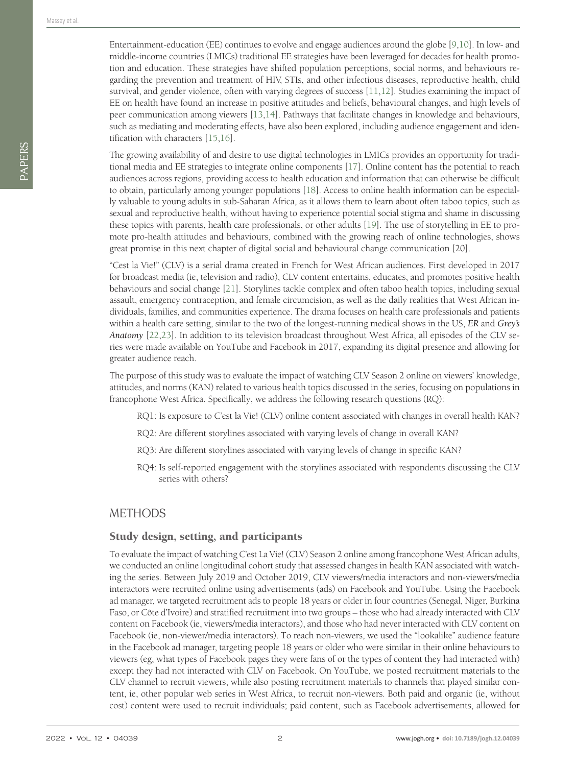Entertainment-education (EE) continues to evolve and engage audiences around the globe [\[9](#page-9-5),[10\]](#page-9-6). In low- and middle-income countries (LMICs) traditional EE strategies have been leveraged for decades for health promotion and education. These strategies have shifted population perceptions, social norms, and behaviours regarding the prevention and treatment of HIV, STIs, and other infectious diseases, reproductive health, child survival, and gender violence, often with varying degrees of success [[11](#page-9-7),[12\]](#page-9-8). Studies examining the impact of EE on health have found an increase in positive attitudes and beliefs, behavioural changes, and high levels of peer communication among viewers [\[13](#page-9-9),[14\]](#page-9-10). Pathways that facilitate changes in knowledge and behaviours, such as mediating and moderating effects, have also been explored, including audience engagement and identification with characters [\[15,](#page-9-11)[16](#page-9-12)].

The growing availability of and desire to use digital technologies in LMICs provides an opportunity for traditional media and EE strategies to integrate online components [\[17\]](#page-9-13). Online content has the potential to reach audiences across regions, providing access to health education and information that can otherwise be difficult to obtain, particularly among younger populations [\[18](#page-9-14)]. Access to online health information can be especially valuable to young adults in sub-Saharan Africa, as it allows them to learn about often taboo topics, such as sexual and reproductive health, without having to experience potential social stigma and shame in discussing these topics with parents, health care professionals, or other adults [[19\]](#page-9-15). The use of storytelling in EE to promote pro-health attitudes and behaviours, combined with the growing reach of online technologies, shows great promise in this next chapter of digital social and behavioural change communication [20].

"Cest la Vie!" (CLV) is a serial drama created in French for West African audiences. First developed in 2017 for broadcast media (ie, television and radio), CLV content entertains, educates, and promotes positive health behaviours and social change [[21](#page-9-16)]. Storylines tackle complex and often taboo health topics, including sexual assault, emergency contraception, and female circumcision, as well as the daily realities that West African individuals, families, and communities experience. The drama focuses on health care professionals and patients within a health care setting, similar to the two of the longest-running medical shows in the US, *ER* and *Grey's Anatomy* [[22,](#page-9-17)[23](#page-9-18)]. In addition to its television broadcast throughout West Africa, all episodes of the CLV series were made available on YouTube and Facebook in 2017, expanding its digital presence and allowing for greater audience reach.

The purpose of this study was to evaluate the impact of watching CLV Season 2 online on viewers' knowledge, attitudes, and norms (KAN) related to various health topics discussed in the series, focusing on populations in francophone West Africa. Specifically, we address the following research questions (RQ):

- RQ1: Is exposure to C'est la Vie! (CLV) online content associated with changes in overall health KAN?
- RQ2: Are different storylines associated with varying levels of change in overall KAN?
- RQ3: Are different storylines associated with varying levels of change in specific KAN?
- RQ4: Is self-reported engagement with the storylines associated with respondents discussing the CLV series with others?

#### METHODS

#### Study design, setting, and participants

To evaluate the impact of watching C'est La Vie! (CLV) Season 2 online among francophone West African adults, we conducted an online longitudinal cohort study that assessed changes in health KAN associated with watching the series. Between July 2019 and October 2019, CLV viewers/media interactors and non-viewers/media interactors were recruited online using advertisements (ads) on Facebook and YouTube. Using the Facebook ad manager, we targeted recruitment ads to people 18 years or older in four countries (Senegal, Niger, Burkina Faso, or Côte d'Ivoire) and stratified recruitment into two groups – those who had already interacted with CLV content on Facebook (ie, viewers/media interactors), and those who had never interacted with CLV content on Facebook (ie, non-viewer/media interactors). To reach non-viewers, we used the "lookalike" audience feature in the Facebook ad manager, targeting people 18 years or older who were similar in their online behaviours to viewers (eg, what types of Facebook pages they were fans of or the types of content they had interacted with) except they had not interacted with CLV on Facebook. On YouTube, we posted recruitment materials to the CLV channel to recruit viewers, while also posting recruitment materials to channels that played similar content, ie, other popular web series in West Africa, to recruit non-viewers. Both paid and organic (ie, without cost) content were used to recruit individuals; paid content, such as Facebook advertisements, allowed for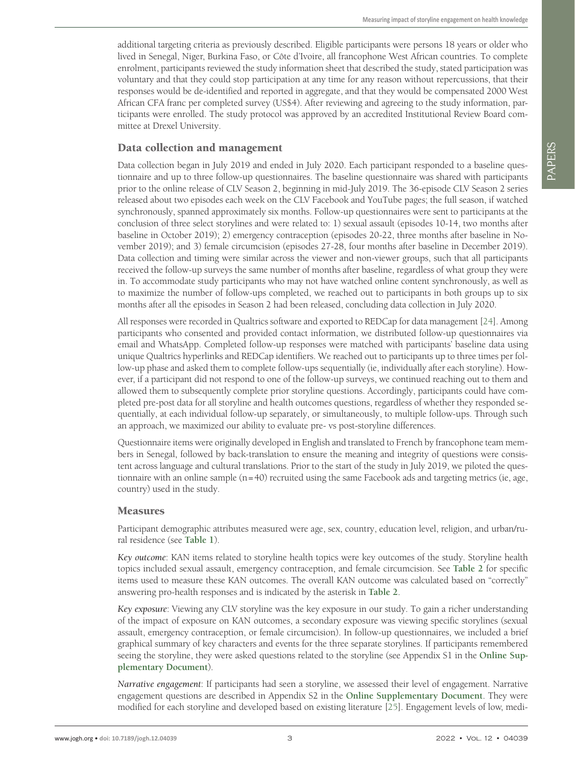additional targeting criteria as previously described. Eligible participants were persons 18 years or older who lived in Senegal, Niger, Burkina Faso, or Côte d'Ivoire, all francophone West African countries. To complete enrolment, participants reviewed the study information sheet that described the study, stated participation was voluntary and that they could stop participation at any time for any reason without repercussions, that their responses would be de-identified and reported in aggregate, and that they would be compensated 2000 West African CFA franc per completed survey (US\$4). After reviewing and agreeing to the study information, participants were enrolled. The study protocol was approved by an accredited Institutional Review Board committee at Drexel University.

### Data collection and management

Data collection began in July 2019 and ended in July 2020. Each participant responded to a baseline questionnaire and up to three follow-up questionnaires. The baseline questionnaire was shared with participants prior to the online release of CLV Season 2, beginning in mid-July 2019. The 36-episode CLV Season 2 series released about two episodes each week on the CLV Facebook and YouTube pages; the full season, if watched synchronously, spanned approximately six months. Follow-up questionnaires were sent to participants at the conclusion of three select storylines and were related to: 1) sexual assault (episodes 10-14, two months after baseline in October 2019); 2) emergency contraception (episodes 20-22, three months after baseline in November 2019); and 3) female circumcision (episodes 27-28, four months after baseline in December 2019). Data collection and timing were similar across the viewer and non-viewer groups, such that all participants received the follow-up surveys the same number of months after baseline, regardless of what group they were in. To accommodate study participants who may not have watched online content synchronously, as well as to maximize the number of follow-ups completed, we reached out to participants in both groups up to six months after all the episodes in Season 2 had been released, concluding data collection in July 2020.

All responses were recorded in Qualtrics software and exported to REDCap for data management [[24\]](#page-9-19). Among participants who consented and provided contact information, we distributed follow-up questionnaires via email and WhatsApp. Completed follow-up responses were matched with participants' baseline data using unique Qualtrics hyperlinks and REDCap identifiers. We reached out to participants up to three times per follow-up phase and asked them to complete follow-ups sequentially (ie, individually after each storyline). However, if a participant did not respond to one of the follow-up surveys, we continued reaching out to them and allowed them to subsequently complete prior storyline questions. Accordingly, participants could have completed pre-post data for all storyline and health outcomes questions, regardless of whether they responded sequentially, at each individual follow-up separately, or simultaneously, to multiple follow-ups. Through such an approach, we maximized our ability to evaluate pre- vs post-storyline differences.

Questionnaire items were originally developed in English and translated to French by francophone team members in Senegal, followed by back-translation to ensure the meaning and integrity of questions were consistent across language and cultural translations. Prior to the start of the study in July 2019, we piloted the questionnaire with an online sample  $(n=40)$  recruited using the same Facebook ads and targeting metrics (ie, age, country) used in the study.

#### Measures

Participant demographic attributes measured were age, sex, country, education level, religion, and urban/rural residence (see **[Table](#page-3-0) 1**).

*Key outcome*: KAN items related to storyline health topics were key outcomes of the study. Storyline health topics included sexual assault, emergency contraception, and female circumcision. See **[Table](#page-3-1) 2** for specific items used to measure these KAN outcomes. The overall KAN outcome was calculated based on "correctly" answering pro-health responses and is indicated by the asterisk in **[Table](#page-3-1) 2**.

*Key exposure*: Viewing any CLV storyline was the key exposure in our study. To gain a richer understanding of the impact of exposure on KAN outcomes, a secondary exposure was viewing specific storylines (sexual assault, emergency contraception, or female circumcision). In follow-up questionnaires, we included a brief graphical summary of key characters and events for the three separate storylines. If participants remembered seeing the storyline, they were asked questions related to the storyline (see Appendix S1 in the **[Online](#page-8-0) Sup[plementary](#page-8-0) Document**).

*Narrative engagement*: If participants had seen a storyline, we assessed their level of engagement. Narrative engagement questions are described in Appendix S2 in the **Online [Supplementary](#page-8-0) Document**. They were modified for each storyline and developed based on existing literature [\[25](#page-9-20)]. Engagement levels of low, medi-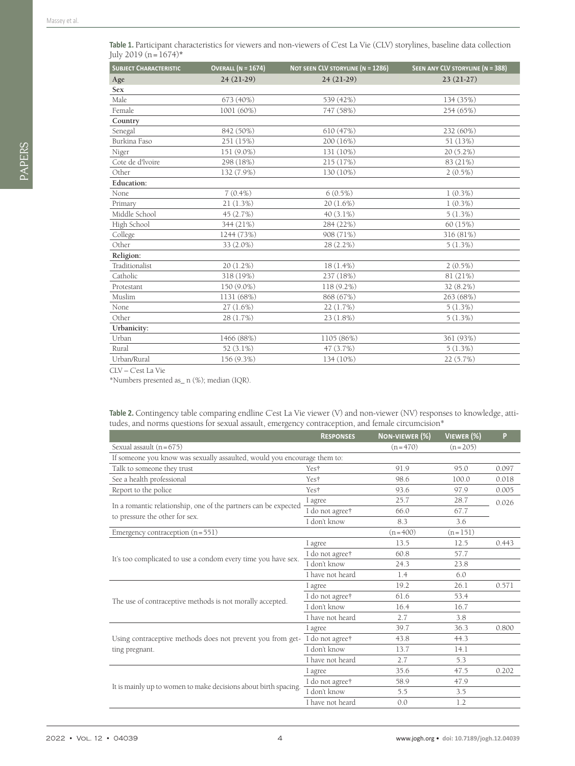| <b>SUBJECT CHARACTERISTIC</b> | <b>OVERALL (N = 1674)</b> | <b>NOT SEEN CLV STORYLINE (N = 1286)</b> | SEEN ANY CLV STORYLINE (N = 388) |
|-------------------------------|---------------------------|------------------------------------------|----------------------------------|
| Age                           | $24(21-29)$               | $24(21-29)$                              | $23(21-27)$                      |
| Sex                           |                           |                                          |                                  |
| Male                          | 673 (40%)                 | 539 (42%)                                | 134 (35%)                        |
| Female                        | 1001 (60%)                | 747 (58%)                                | 254 (65%)                        |
| Country                       |                           |                                          |                                  |
| Senegal                       | 842 (50%)                 | 610 (47%)                                | 232 (60%)                        |
| Burkina Faso                  | 251 (15%)                 | 200 (16%)                                | 51 (13%)                         |
| Niger                         | 151 (9.0%)                | 131 (10%)                                | 20 (5.2%)                        |
| Cote de d'Ivoire              | 298 (18%)                 | 215 (17%)                                | 83 (21%)                         |
| Other                         | 132 (7.9%)                | 130 (10%)                                | $2(0.5\%)$                       |
| <b>Education:</b>             |                           |                                          |                                  |
| None                          | $7(0.4\%)$                | $6(0.5\%)$                               | $1(0.3\%)$                       |
| Primary                       | 21(1.3%)                  | $20(1.6\%)$                              | $1(0.3\%)$                       |
| Middle School                 | 45 (2.7%)                 | $40(3.1\%)$                              | 5(1.3%)                          |
| High School                   | 344 (21%)                 | 284 (22%)                                | 60 (15%)                         |
| College                       | 1244 (73%)                | 908 (71%)                                | 316 (81%)                        |
| Other                         | 33 (2.0%)                 | 28 (2.2%)                                | 5(1.3%)                          |
| Religion:                     |                           |                                          |                                  |
| Traditionalist                | $20(1.2\%)$               | $18(1.4\%)$                              | $2(0.5\%)$                       |
| Catholic                      | 318 (19%)                 | 237 (18%)                                | 81 (21%)                         |
| Protestant                    | 150 (9.0%)                | 118 (9.2%)                               | 32 (8.2%)                        |
| Muslim                        | 1131 (68%)                | 868 (67%)                                | 263 (68%)                        |
| None                          | 27 (1.6%)                 | 22 (1.7%)                                | $5(1.3\%)$                       |
| Other                         | 28 (1.7%)                 | $23(1.8\%)$                              | 5(1.3%)                          |
| Urbanicity:                   |                           |                                          |                                  |
| Urban                         | 1466 (88%)                | 1105 (86%)                               | 361 (93%)                        |
| Rural                         | $52(3.1\%)$               | 47 (3.7%)                                | 5(1.3%)                          |
| Urban/Rural                   | 156 (9.3%)                | 134 (10%)                                | 22 (5.7%)                        |

<span id="page-3-0"></span>Table 1. Participant characteristics for viewers and non-viewers of C'est La Vie (CLV) storylines, baseline data collection July 2019 (n=1674)**\***

CLV – C'est La Vie

\*Numbers presented as\_ n (%); median (IQR).

<span id="page-3-1"></span>**Table 2.** Contingency table comparing endline C'est La Vie viewer (V) and non-viewer (NV) responses to knowledge, attitudes, and norms questions for sexual assault, emergency contraception, and female circumcision\*

|                                                                          | <b>RESPONSES</b> | NON-VIEWER (%) | VIEWER (%) | P     |  |
|--------------------------------------------------------------------------|------------------|----------------|------------|-------|--|
| Sexual assault $(n=675)$                                                 |                  | $(n=470)$      | $(n=205)$  |       |  |
| If someone you know was sexually assaulted, would you encourage them to: |                  |                |            |       |  |
| Talk to someone they trust                                               | Yest             | 91.9           | 95.0       | 0.097 |  |
| See a health professional                                                | Yest             | 98.6           | 100.0      | 0.018 |  |
| Report to the police                                                     | Yes†             | 93.6           | 97.9       | 0.005 |  |
| In a romantic relationship, one of the partners can be expected          | I agree          | 25.7           | 28.7       | 0.026 |  |
| to pressure the other for sex.                                           | I do not agree†  | 66.0           | 67.7       |       |  |
|                                                                          | I don't know     | 8.3            | 3.6        |       |  |
| Emergency contraception $(n=551)$                                        |                  | $(n=400)$      | $(n=151)$  |       |  |
|                                                                          | I agree          | 13.5           | 12.5       | 0.443 |  |
|                                                                          | I do not agree†  | 60.8           | 57.7       |       |  |
| It's too complicated to use a condom every time you have sex.            | I don't know     | 24.3           | 23.8       |       |  |
|                                                                          | I have not heard | 1.4            | 6.0        |       |  |
|                                                                          | I agree          | 19.2           | 26.1       | 0.571 |  |
| The use of contraceptive methods is not morally accepted.                | I do not agree†  | 61.6           | 53.4       |       |  |
|                                                                          | I don't know     | 16.4           | 16.7       |       |  |
|                                                                          | I have not heard | 2.7            | 3.8        |       |  |
|                                                                          | I agree          | 39.7           | 36.3       | 0.800 |  |
| Using contraceptive methods does not prevent you from get-               | I do not agree†  | 43.8           | 44.3       |       |  |
| ting pregnant.                                                           | I don't know     | 13.7           | 14.1       |       |  |
|                                                                          | I have not heard | 2.7            | 5.3        |       |  |
|                                                                          | I agree          | 35.6           | 47.5       | 0.202 |  |
|                                                                          | I do not agree†  | 58.9           | 47.9       |       |  |
| It is mainly up to women to make decisions about birth spacing.          | I don't know     | 5.5            | 3.5        |       |  |
|                                                                          | I have not heard | 0.0            | 1.2        |       |  |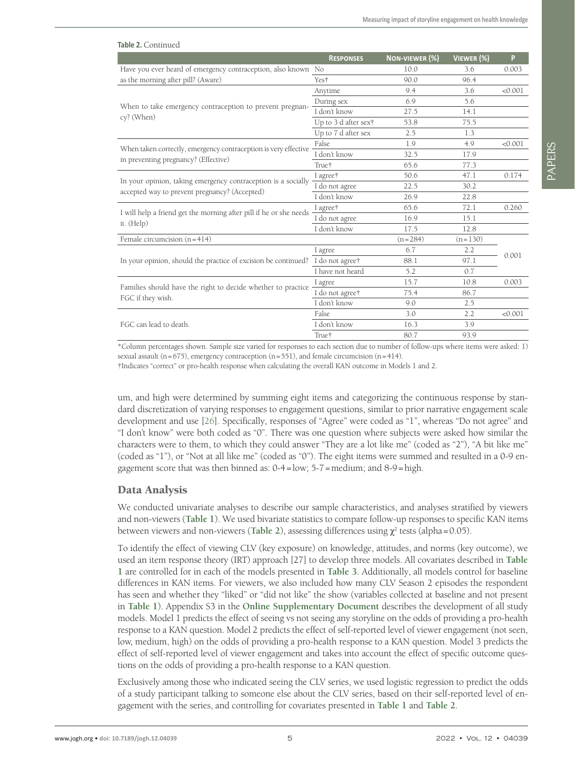| Table 2. Continued                                                 |                      |                |            |         |
|--------------------------------------------------------------------|----------------------|----------------|------------|---------|
|                                                                    | <b>RESPONSES</b>     | NON-VIEWER (%) | VIEWER (%) | P       |
| Have you ever heard of emergency contraception, also known No      |                      | 10.0           | 3.6        | 0.003   |
| as the morning after pill? (Aware)                                 | Yes <sup>+</sup>     | 90.0           | 96.4       |         |
|                                                                    | Anytime              | 9.4            | 3.6        | < 0.001 |
| When to take emergency contraception to prevent pregnan-           | During sex           | 6.9            | 5.6        |         |
| cy? (When)                                                         | I don't know         | 27.5           | 14.1       |         |
|                                                                    | Up to 3 d after sex† | 53.8           | 75.5       |         |
|                                                                    | Up to 7 d after sex  | 2.5            | 1.3        |         |
| When taken correctly, emergency contraception is very effective    | False                | 1.9            | 4.9        | < 0.001 |
| in preventing pregnancy? (Effective)                               | I don't know         | 32.5           | 17.9       |         |
|                                                                    | True <sup>+</sup>    | 65.6           | 77.3       |         |
| In your opinion, taking emergency contraception is a socially      | I agree†             | 50.6           | 47.1       | 0.174   |
| accepted way to prevent pregnancy? (Accepted)                      | I do not agree       | 22.5           | 30.2       |         |
|                                                                    | I don't know         | 26.9           | 22.8       |         |
| I will help a friend get the morning after pill if he or she needs | I agree†             | 65.6           | 72.1       | 0.260   |
| it. (Help)                                                         | I do not agree       | 16.9           | 15.1       |         |
|                                                                    | I don't know         | 17.5           | 12.8       |         |
| Female circumcision $(n=414)$                                      |                      | $(n=284)$      | $(n=130)$  |         |
|                                                                    | I agree              | 6.7            | 2.2        | 0.001   |
| In your opinion, should the practice of excision be continued?     | I do not agree†      | 88.1           | 97.1       |         |
|                                                                    | I have not heard     | 5.2            | 0.7        |         |
| Families should have the right to decide whether to practice       | I agree              | 15.7           | 10.8       | 0.003   |
| FGC if they wish.                                                  | I do not agree†      | 75.4           | 86.7       |         |
|                                                                    | I don't know         | 9.0            | 2.5        |         |
|                                                                    | False                | 3.0            | 2.2        | < 0.001 |
| FGC can lead to death.                                             | I don't know         | 16.3           | 3.9        |         |
|                                                                    | True†                | 80.7           | 93.9       |         |
|                                                                    |                      |                |            |         |

\*Column percentages shown. Sample size varied for responses to each section due to number of follow-ups where items were asked: 1) sexual assault ( $n=675$ ), emergency contraception ( $n=551$ ), and female circumcision ( $n=414$ ).

†Indicates "correct" or pro-health response when calculating the overall KAN outcome in Models 1 and 2.

um, and high were determined by summing eight items and categorizing the continuous response by standard discretization of varying responses to engagement questions, similar to prior narrative engagement scale development and use [\[26](#page-9-21)]. Specifically, responses of "Agree" were coded as "1", whereas "Do not agree" and "I don't know" were both coded as "0". There was one question where subjects were asked how similar the characters were to them, to which they could answer "They are a lot like me" (coded as "2"), "A bit like me" (coded as "1"), or "Not at all like me" (coded as "0"). The eight items were summed and resulted in a 0-9 engagement score that was then binned as: 0-4=low; 5-7=medium; and 8-9=high.

#### Data Analysis

We conducted univariate analyses to describe our sample characteristics, and analyses stratified by viewers and non-viewers (**[Table](#page-3-0) 1**). We used bivariate statistics to compare follow-up responses to specific KAN items between viewers and non-viewers ([Table](#page-3-1) 2), assessing differences using  $\chi^2$  tests (alpha=0.05).

To identify the effect of viewing CLV (key exposure) on knowledge, attitudes, and norms (key outcome), we used an item response theory (IRT) approach [27] to develop three models. All covariates described in **[Table](#page-3-0) [1](#page-3-0)** are controlled for in each of the models presented in **[Table](#page-5-0) 3**. Additionally, all models control for baseline differences in KAN items. For viewers, we also included how many CLV Season 2 episodes the respondent has seen and whether they "liked" or "did not like" the show (variables collected at baseline and not present in **[Table](#page-3-0) 1**). Appendix S3 in the **Online [Supplementary](#page-8-0) Document** describes the development of all study models. Model 1 predicts the effect of seeing vs not seeing any storyline on the odds of providing a pro-health response to a KAN question. Model 2 predicts the effect of self-reported level of viewer engagement (not seen, low, medium, high) on the odds of providing a pro-health response to a KAN question. Model 3 predicts the effect of self-reported level of viewer engagement and takes into account the effect of specific outcome questions on the odds of providing a pro-health response to a KAN question.

Exclusively among those who indicated seeing the CLV series, we used logistic regression to predict the odds of a study participant talking to someone else about the CLV series, based on their self-reported level of engagement with the series, and controlling for covariates presented in **[Table](#page-3-0) 1** and **[Table](#page-3-1) 2**.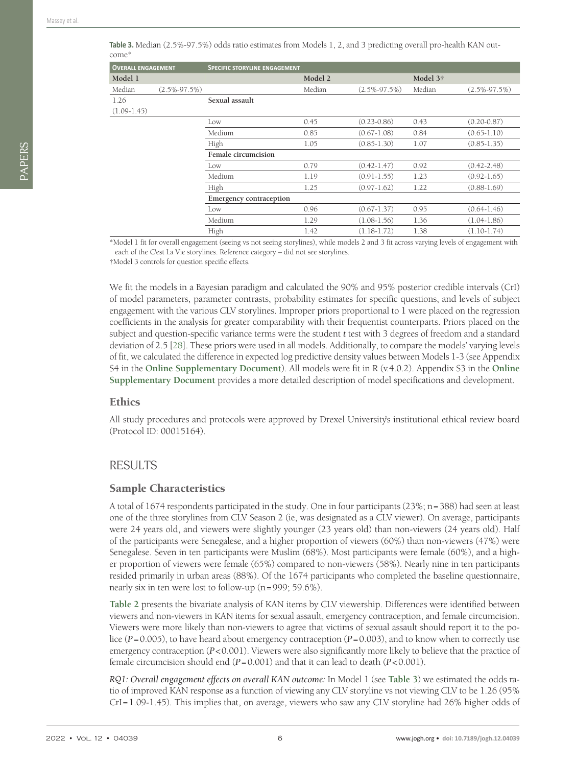| <b>OVERALL ENGAGEMENT</b> |                    | <b>SPECIFIC STORYLINE ENGAGEMENT</b> |         |                    |                      |                    |
|---------------------------|--------------------|--------------------------------------|---------|--------------------|----------------------|--------------------|
| Model 1                   |                    |                                      | Model 2 |                    | Model 3 <sup>†</sup> |                    |
| Median                    | $(2.5\% - 97.5\%)$ |                                      | Median  | $(2.5\% - 97.5\%)$ | Median               | $(2.5\% - 97.5\%)$ |
| 1.26                      |                    | Sexual assault                       |         |                    |                      |                    |
| $(1.09-1.45)$             |                    |                                      |         |                    |                      |                    |
|                           |                    | Low                                  | 0.45    | $(0.23 - 0.86)$    | 0.43                 | $(0.20 - 0.87)$    |
|                           |                    | Medium                               | 0.85    | $(0.67 - 1.08)$    | 0.84                 | $(0.65 - 1.10)$    |
|                           |                    | High                                 | 1.05    | $(0.85 - 1.30)$    | 1.07                 | $(0.85 - 1.35)$    |
|                           |                    | Female circumcision                  |         |                    |                      |                    |
|                           |                    | Low                                  | 0.79    | $(0.42 - 1.47)$    | 0.92                 | $(0.42 - 2.48)$    |
|                           |                    | Medium                               | 1.19    | $(0.91 - 1.55)$    | 1.23                 | $(0.92 - 1.65)$    |
|                           |                    | High                                 | 1.25    | $(0.97 - 1.62)$    | 1.22                 | $(0.88 - 1.69)$    |
|                           |                    | <b>Emergency contraception</b>       |         |                    |                      |                    |
|                           |                    | Low                                  | 0.96    | $(0.67 - 1.37)$    | 0.95                 | $(0.64 - 1.46)$    |
|                           |                    | Medium                               | 1.29    | $(1.08-1.56)$      | 1.36                 | $(1.04-1.86)$      |
|                           |                    | High                                 | 1.42    | $(1.18-1.72)$      | 1.38                 | $(1.10-1.74)$      |
|                           |                    |                                      |         |                    |                      |                    |

<span id="page-5-0"></span>**Table 3.** Median (2.5%-97.5%) odds ratio estimates from Models 1, 2, and 3 predicting overall pro-health KAN outcome\*

\*Model 1 fit for overall engagement (seeing vs not seeing storylines), while models 2 and 3 fit across varying levels of engagement with each of the C'est La Vie storylines. Reference category – did not see storylines.

†Model 3 controls for question specific effects.

We fit the models in a Bayesian paradigm and calculated the 90% and 95% posterior credible intervals (CrI) of model parameters, parameter contrasts, probability estimates for specific questions, and levels of subject engagement with the various CLV storylines. Improper priors proportional to 1 were placed on the regression coefficients in the analysis for greater comparability with their frequentist counterparts. Priors placed on the subject and question-specific variance terms were the student *t* test with 3 degrees of freedom and a standard deviation of 2.5 [\[28](#page-9-22)]. These priors were used in all models. Additionally, to compare the models' varying levels of fit, we calculated the difference in expected log predictive density values between Models 1-3 (see Appendix S4 in the **Online [Supplementary](#page-8-0) Document**). All models were fit in R (v.4.0.2). Appendix S3 in the **[Online](#page-8-0) [Supplementary](#page-8-0) Document** provides a more detailed description of model specifications and development.

#### **Ethics**

All study procedures and protocols were approved by Drexel University's institutional ethical review board (Protocol ID: 00015164).

## RESULTS

#### Sample Characteristics

A total of 1674 respondents participated in the study. One in four participants (23%; n=388) had seen at least one of the three storylines from CLV Season 2 (ie, was designated as a CLV viewer). On average, participants were 24 years old, and viewers were slightly younger (23 years old) than non-viewers (24 years old). Half of the participants were Senegalese, and a higher proportion of viewers (60%) than non-viewers (47%) were Senegalese. Seven in ten participants were Muslim (68%). Most participants were female (60%), and a higher proportion of viewers were female (65%) compared to non-viewers (58%). Nearly nine in ten participants resided primarily in urban areas (88%). Of the 1674 participants who completed the baseline questionnaire, nearly six in ten were lost to follow-up (n=999; 59.6%).

**[Table](#page-3-1) 2** presents the bivariate analysis of KAN items by CLV viewership. Differences were identified between viewers and non-viewers in KAN items for sexual assault, emergency contraception, and female circumcision. Viewers were more likely than non-viewers to agree that victims of sexual assault should report it to the police (*P*=0.005), to have heard about emergency contraception (*P*=0.003), and to know when to correctly use emergency contraception (*P*<0.001). Viewers were also significantly more likely to believe that the practice of female circumcision should end (*P*=0.001) and that it can lead to death (*P*<0.001).

*RQ1: Overall engagement effects on overall KAN outcome:* In Model 1 (see **[Table](#page-5-0) 3**) we estimated the odds ratio of improved KAN response as a function of viewing any CLV storyline vs not viewing CLV to be 1.26 (95% CrI=1.09-1.45). This implies that, on average, viewers who saw any CLV storyline had 26% higher odds of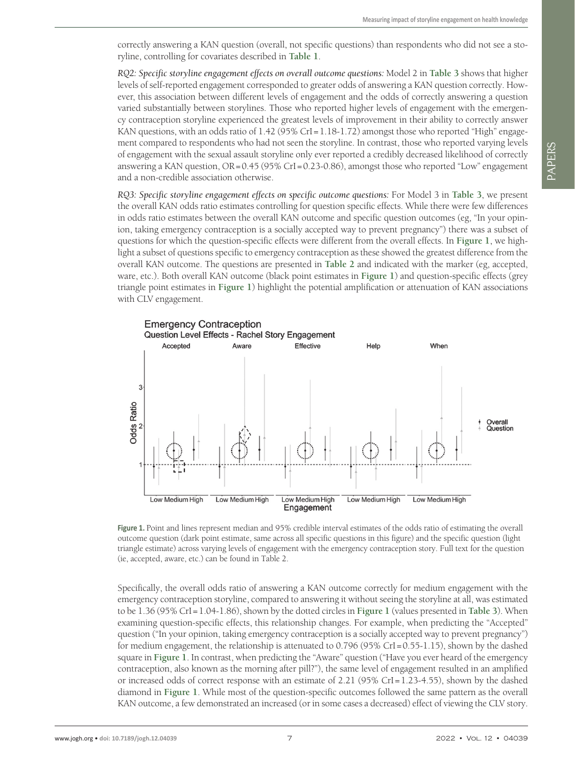correctly answering a KAN question (overall, not specific questions) than respondents who did not see a storyline, controlling for covariates described in **[Table](#page-3-0) 1**.

*RQ2: Specific storyline engagement effects on overall outcome questions:* Model 2 in **[Table](#page-5-0) 3** shows that higher levels of self-reported engagement corresponded to greater odds of answering a KAN question correctly. However, this association between different levels of engagement and the odds of correctly answering a question varied substantially between storylines. Those who reported higher levels of engagement with the emergency contraception storyline experienced the greatest levels of improvement in their ability to correctly answer KAN questions, with an odds ratio of  $1.42$  (95% CrI=1.18-1.72) amongst those who reported "High" engagement compared to respondents who had not seen the storyline. In contrast, those who reported varying levels of engagement with the sexual assault storyline only ever reported a credibly decreased likelihood of correctly answering a KAN question, OR=0.45 (95% CrI=0.23-0.86), amongst those who reported "Low" engagement and a non-credible association otherwise.

*RQ3: Specific storyline engagement effects on specific outcome questions:* For Model 3 in **[Table](#page-5-0) 3**, we present the overall KAN odds ratio estimates controlling for question specific effects. While there were few differences in odds ratio estimates between the overall KAN outcome and specific question outcomes (eg, "In your opinion, taking emergency contraception is a socially accepted way to prevent pregnancy") there was a subset of questions for which the question-specific effects were different from the overall effects. In **[Figure](#page-6-0) 1**, we highlight a subset of questions specific to emergency contraception as these showed the greatest difference from the overall KAN outcome. The questions are presented in **[Table](#page-3-1) 2** and indicated with the marker (eg, accepted, ware, etc.). Both overall KAN outcome (black point estimates in **[Figure](#page-6-0) 1**) and question-specific effects (grey triangle point estimates in **[Figure](#page-6-0) 1**) highlight the potential amplification or attenuation of KAN associations with CLV engagement.

<span id="page-6-0"></span>

**Figure 1.** Point and lines represent median and 95% credible interval estimates of the odds ratio of estimating the overall outcome question (dark point estimate, same across all specific questions in this figure) and the specific question (light triangle estimate) across varying levels of engagement with the emergency contraception story. Full text for the question (ie, accepted, aware, etc.) can be found in Table 2.

Specifically, the overall odds ratio of answering a KAN outcome correctly for medium engagement with the emergency contraception storyline, compared to answering it without seeing the storyline at all, was estimated to be 1.36 (95% CrI=1.04-1.86), shown by the dotted circles in **[Figure](#page-6-0) 1** (values presented in **[Table](#page-5-0) 3**). When examining question-specific effects, this relationship changes. For example, when predicting the "Accepted" question ("In your opinion, taking emergency contraception is a socially accepted way to prevent pregnancy") for medium engagement, the relationship is attenuated to 0.796 (95% CrI=0.55-1.15), shown by the dashed square in **[Figure](#page-6-0) 1**. In contrast, when predicting the "Aware" question ("Have you ever heard of the emergency contraception, also known as the morning after pill?"), the same level of engagement resulted in an amplified or increased odds of correct response with an estimate of 2.21 (95% CrI=1.23-4.55), shown by the dashed diamond in **[Figure](#page-6-0) 1**. While most of the question-specific outcomes followed the same pattern as the overall KAN outcome, a few demonstrated an increased (or in some cases a decreased) effect of viewing the CLV story.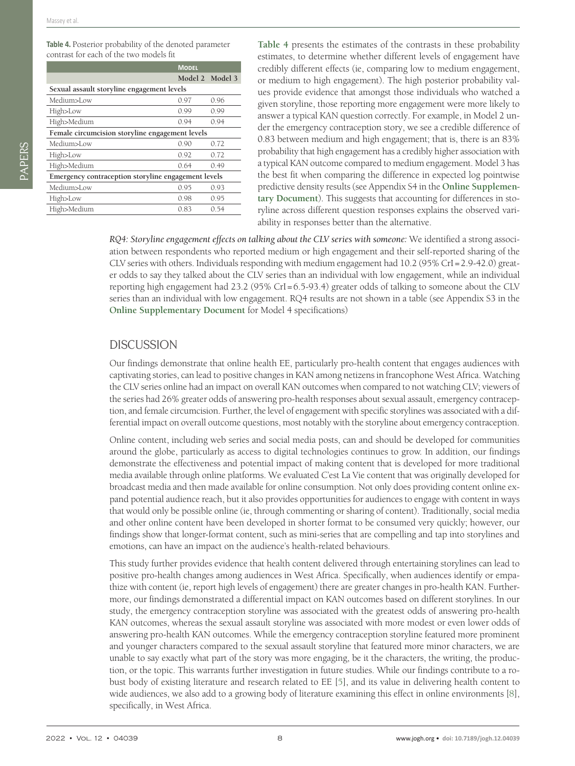<span id="page-7-0"></span>**Table 4.** Posterior probability of the denoted parameter contrast for each of the two models fit

|                                                     | <b>MODEL</b>    |      |  |  |
|-----------------------------------------------------|-----------------|------|--|--|
|                                                     | Model 2 Model 3 |      |  |  |
| Sexual assault storyline engagement levels          |                 |      |  |  |
| Medium>Low                                          | 0.97            | 0.96 |  |  |
| High>Low                                            | 0.99            | 0.99 |  |  |
| High>Medium                                         | 0.94            | 0.94 |  |  |
| Female circumcision storyline engagement levels     |                 |      |  |  |
| Medium>Low                                          | 0.90            | 0.72 |  |  |
| High>Low                                            | 0.92            | 0.72 |  |  |
| High>Medium                                         | 0.64            | 0.49 |  |  |
| Emergency contraception storyline engagement levels |                 |      |  |  |
| Medium>Low                                          | 0.95            | 0.93 |  |  |
| High>Low                                            | 0.98            | 0.95 |  |  |
| High>Medium                                         | 0.83            | 0.54 |  |  |
|                                                     |                 |      |  |  |

**[Table](#page-7-0) 4** presents the estimates of the contrasts in these probability estimates, to determine whether different levels of engagement have credibly different effects (ie, comparing low to medium engagement, or medium to high engagement). The high posterior probability values provide evidence that amongst those individuals who watched a given storyline, those reporting more engagement were more likely to answer a typical KAN question correctly. For example, in Model 2 under the emergency contraception story, we see a credible difference of 0.83 between medium and high engagement; that is, there is an 83% probability that high engagement has a credibly higher association with a typical KAN outcome compared to medium engagement. Model 3 has the best fit when comparing the difference in expected log pointwise predictive density results (see Appendix S4 in the **Online [Supplemen](#page-8-0)tary [Document](#page-8-0)**). This suggests that accounting for differences in storyline across different question responses explains the observed variability in responses better than the alternative.

*RQ4: Storyline engagement effects on talking about the CLV series with someone:* We identified a strong association between respondents who reported medium or high engagement and their self-reported sharing of the CLV series with others. Individuals responding with medium engagement had 10.2 (95% CrI=2.9-42.0) greater odds to say they talked about the CLV series than an individual with low engagement, while an individual reporting high engagement had 23.2 (95% CrI=6.5-93.4) greater odds of talking to someone about the CLV series than an individual with low engagement. RQ4 results are not shown in a table (see Appendix S3 in the **Online [Supplementary](#page-8-0) Document** for Model 4 specifications)

## **DISCUSSION**

Our findings demonstrate that online health EE, particularly pro-health content that engages audiences with captivating stories, can lead to positive changes in KAN among netizens in francophone West Africa. Watching the CLV series online had an impact on overall KAN outcomes when compared to not watching CLV; viewers of the series had 26% greater odds of answering pro-health responses about sexual assault, emergency contraception, and female circumcision. Further, the level of engagement with specific storylines was associated with a differential impact on overall outcome questions, most notably with the storyline about emergency contraception.

Online content, including web series and social media posts, can and should be developed for communities around the globe, particularly as access to digital technologies continues to grow. In addition, our findings demonstrate the effectiveness and potential impact of making content that is developed for more traditional media available through online platforms. We evaluated C'est La Vie content that was originally developed for broadcast media and then made available for online consumption. Not only does providing content online expand potential audience reach, but it also provides opportunities for audiences to engage with content in ways that would only be possible online (ie, through commenting or sharing of content). Traditionally, social media and other online content have been developed in shorter format to be consumed very quickly; however, our findings show that longer-format content, such as mini-series that are compelling and tap into storylines and emotions, can have an impact on the audience's health-related behaviours.

This study further provides evidence that health content delivered through entertaining storylines can lead to positive pro-health changes among audiences in West Africa. Specifically, when audiences identify or empathize with content (ie, report high levels of engagement) there are greater changes in pro-health KAN. Furthermore, our findings demonstrated a differential impact on KAN outcomes based on different storylines. In our study, the emergency contraception storyline was associated with the greatest odds of answering pro-health KAN outcomes, whereas the sexual assault storyline was associated with more modest or even lower odds of answering pro-health KAN outcomes. While the emergency contraception storyline featured more prominent and younger characters compared to the sexual assault storyline that featured more minor characters, we are unable to say exactly what part of the story was more engaging, be it the characters, the writing, the production, or the topic. This warrants further investigation in future studies. While our findings contribute to a robust body of existing literature and research related to EE [\[5](#page-9-1)], and its value in delivering health content to wide audiences, we also add to a growing body of literature examining this effect in online environments [[8\]](#page-9-4), specifically, in West Africa.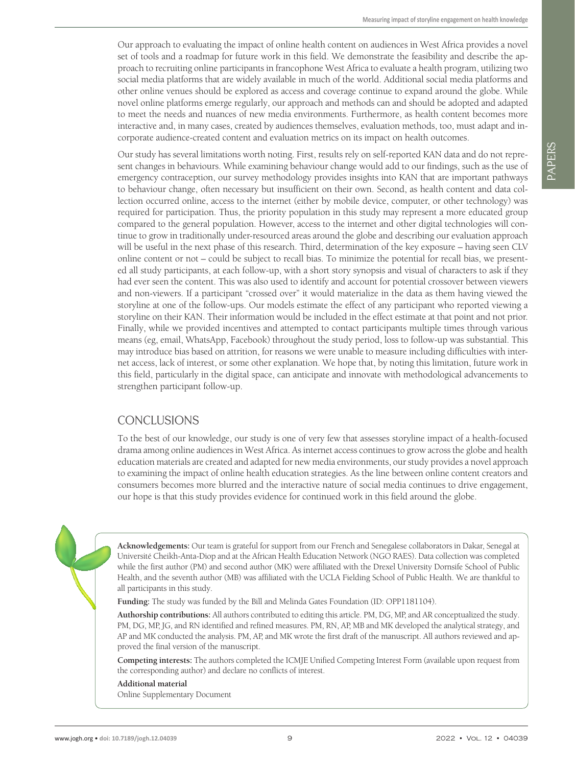Our approach to evaluating the impact of online health content on audiences in West Africa provides a novel set of tools and a roadmap for future work in this field. We demonstrate the feasibility and describe the approach to recruiting online participants in francophone West Africa to evaluate a health program, utilizing two social media platforms that are widely available in much of the world. Additional social media platforms and other online venues should be explored as access and coverage continue to expand around the globe. While novel online platforms emerge regularly, our approach and methods can and should be adopted and adapted to meet the needs and nuances of new media environments. Furthermore, as health content becomes more interactive and, in many cases, created by audiences themselves, evaluation methods, too, must adapt and incorporate audience-created content and evaluation metrics on its impact on health outcomes.

Our study has several limitations worth noting. First, results rely on self-reported KAN data and do not represent changes in behaviours. While examining behaviour change would add to our findings, such as the use of emergency contraception, our survey methodology provides insights into KAN that are important pathways to behaviour change, often necessary but insufficient on their own. Second, as health content and data collection occurred online, access to the internet (either by mobile device, computer, or other technology) was required for participation. Thus, the priority population in this study may represent a more educated group compared to the general population. However, access to the internet and other digital technologies will continue to grow in traditionally under-resourced areas around the globe and describing our evaluation approach will be useful in the next phase of this research. Third, determination of the key exposure – having seen CLV online content or not – could be subject to recall bias. To minimize the potential for recall bias, we presented all study participants, at each follow-up, with a short story synopsis and visual of characters to ask if they had ever seen the content. This was also used to identify and account for potential crossover between viewers and non-viewers. If a participant "crossed over" it would materialize in the data as them having viewed the storyline at one of the follow-ups. Our models estimate the effect of any participant who reported viewing a storyline on their KAN. Their information would be included in the effect estimate at that point and not prior. Finally, while we provided incentives and attempted to contact participants multiple times through various means (eg, email, WhatsApp, Facebook) throughout the study period, loss to follow-up was substantial. This may introduce bias based on attrition, for reasons we were unable to measure including difficulties with internet access, lack of interest, or some other explanation. We hope that, by noting this limitation, future work in this field, particularly in the digital space, can anticipate and innovate with methodological advancements to strengthen participant follow-up.

## CONCLUSIONS

To the best of our knowledge, our study is one of very few that assesses storyline impact of a health-focused drama among online audiences in West Africa. As internet access continues to grow across the globe and health education materials are created and adapted for new media environments, our study provides a novel approach to examining the impact of online health education strategies. As the line between online content creators and consumers becomes more blurred and the interactive nature of social media continues to drive engagement, our hope is that this study provides evidence for continued work in this field around the globe.

**Acknowledgements:** Our team is grateful for support from our French and Senegalese collaborators in Dakar, Senegal at Université Cheikh-Anta-Diop and at the African Health Education Network (NGO RAES). Data collection was completed while the first author (PM) and second author (MK) were affiliated with the Drexel University Dornsife School of Public Health, and the seventh author (MB) was affiliated with the UCLA Fielding School of Public Health. We are thankful to all participants in this study.

**Funding:** The study was funded by the Bill and Melinda Gates Foundation (ID: OPP1181104).

**Authorship contributions:** All authors contributed to editing this article. PM, DG, MP, and AR conceptualized the study. PM, DG, MP, JG, and RN identified and refined measures. PM, RN, AP, MB and MK developed the analytical strategy, and AP and MK conducted the analysis. PM, AP, and MK wrote the first draft of the manuscript. All authors reviewed and approved the final version of the manuscript.

**Competing interests:** The authors completed the ICMJE Unified Competing Interest Form (available upon request from the corresponding author) and declare no conflicts of interest.

<span id="page-8-0"></span>**Additional material** [Online Supplementary Document](https://jogh.org/documents/2022/jogh-12-04039-s001.pdf)